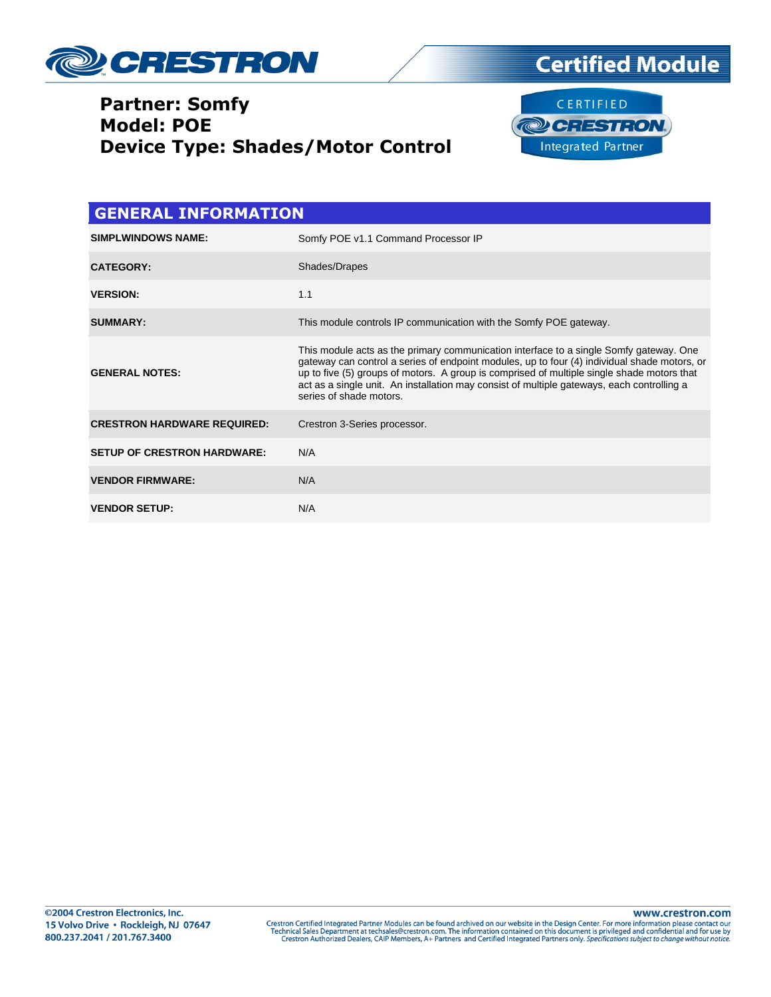



**Certified Module** 

| <b>GENERAL INFORMATION</b>                                                                                                                                                                                                                                                                                                                                                                                    |
|---------------------------------------------------------------------------------------------------------------------------------------------------------------------------------------------------------------------------------------------------------------------------------------------------------------------------------------------------------------------------------------------------------------|
| Somfy POE v1.1 Command Processor IP                                                                                                                                                                                                                                                                                                                                                                           |
| Shades/Drapes                                                                                                                                                                                                                                                                                                                                                                                                 |
| 1.1                                                                                                                                                                                                                                                                                                                                                                                                           |
| This module controls IP communication with the Somfy POE gateway.                                                                                                                                                                                                                                                                                                                                             |
| This module acts as the primary communication interface to a single Somfy gateway. One<br>gateway can control a series of endpoint modules, up to four (4) individual shade motors, or<br>up to five (5) groups of motors. A group is comprised of multiple single shade motors that<br>act as a single unit. An installation may consist of multiple gateways, each controlling a<br>series of shade motors. |
| Crestron 3-Series processor.                                                                                                                                                                                                                                                                                                                                                                                  |
| N/A                                                                                                                                                                                                                                                                                                                                                                                                           |
| N/A                                                                                                                                                                                                                                                                                                                                                                                                           |
| N/A                                                                                                                                                                                                                                                                                                                                                                                                           |
|                                                                                                                                                                                                                                                                                                                                                                                                               |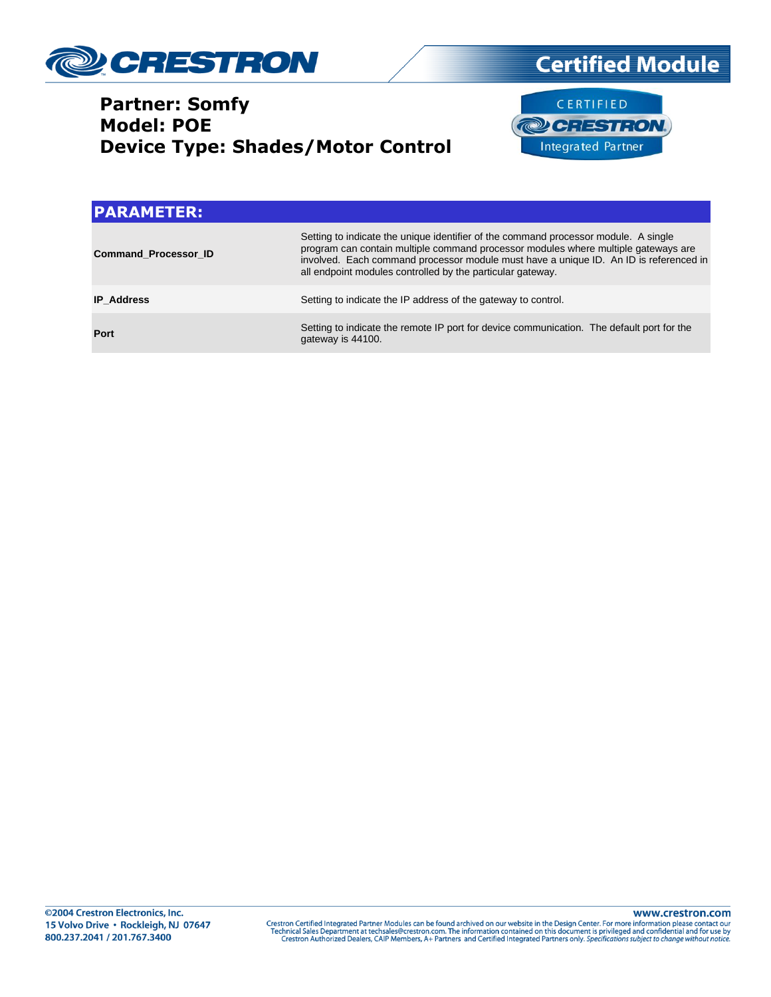



**Certified Module** 

| <b>PARAMETER:</b>           |                                                                                                                                                                                                                                                                                                                                  |
|-----------------------------|----------------------------------------------------------------------------------------------------------------------------------------------------------------------------------------------------------------------------------------------------------------------------------------------------------------------------------|
| <b>Command Processor ID</b> | Setting to indicate the unique identifier of the command processor module. A single<br>program can contain multiple command processor modules where multiple gateways are<br>involved. Each command processor module must have a unique ID. An ID is referenced in<br>all endpoint modules controlled by the particular gateway. |
| <b>IP</b> Address           | Setting to indicate the IP address of the gateway to control.                                                                                                                                                                                                                                                                    |
| Port                        | Setting to indicate the remote IP port for device communication. The default port for the<br>gateway is 44100.                                                                                                                                                                                                                   |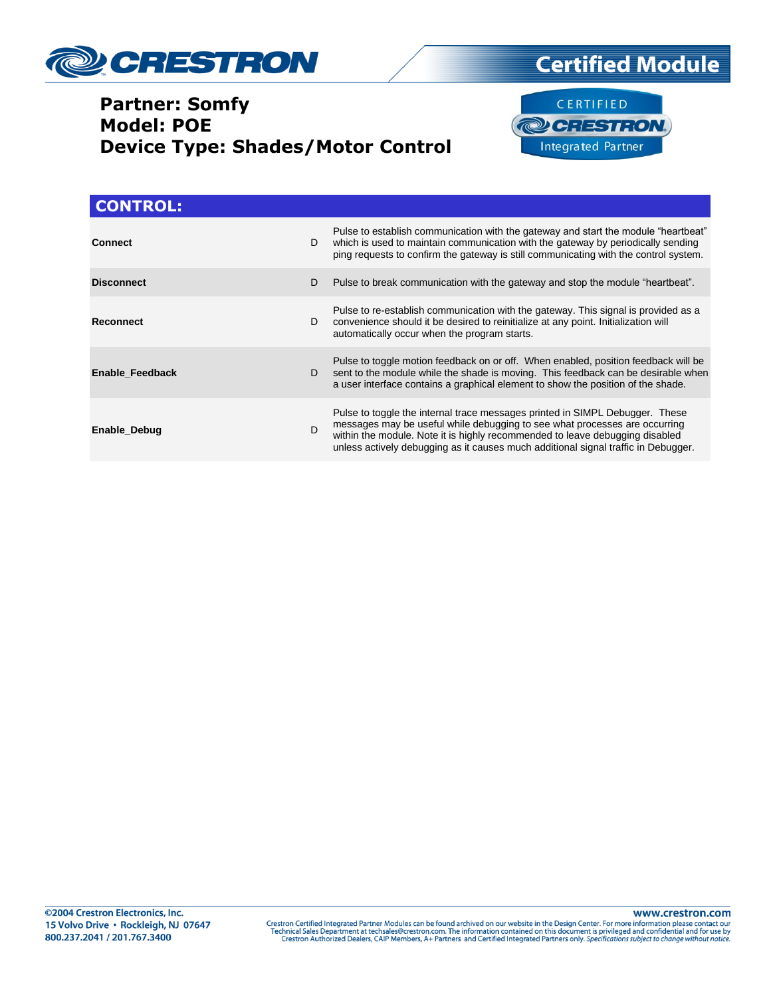





| <b>CONTROL:</b>        |   |                                                                                                                                                                                                                                                                                                                                  |
|------------------------|---|----------------------------------------------------------------------------------------------------------------------------------------------------------------------------------------------------------------------------------------------------------------------------------------------------------------------------------|
| <b>Connect</b>         | D | Pulse to establish communication with the gateway and start the module "heartbeat"<br>which is used to maintain communication with the gateway by periodically sending<br>ping requests to confirm the gateway is still communicating with the control system.                                                                   |
| <b>Disconnect</b>      | D | Pulse to break communication with the gateway and stop the module "heartbeat".                                                                                                                                                                                                                                                   |
| Reconnect              | D | Pulse to re-establish communication with the gateway. This signal is provided as a<br>convenience should it be desired to reinitialize at any point. Initialization will<br>automatically occur when the program starts.                                                                                                         |
| <b>Enable Feedback</b> | D | Pulse to toggle motion feedback on or off. When enabled, position feedback will be<br>sent to the module while the shade is moving. This feedback can be desirable when<br>a user interface contains a graphical element to show the position of the shade.                                                                      |
| Enable_Debug           | D | Pulse to toggle the internal trace messages printed in SIMPL Debugger. These<br>messages may be useful while debugging to see what processes are occurring<br>within the module. Note it is highly recommended to leave debugging disabled<br>unless actively debugging as it causes much additional signal traffic in Debugger. |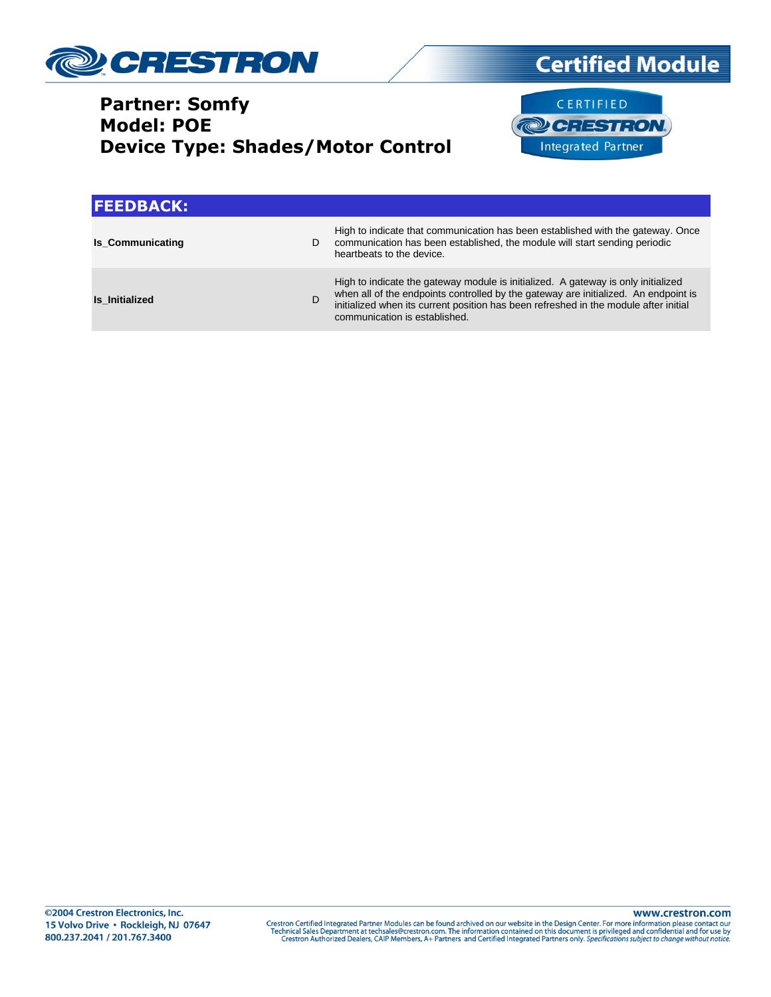





| <b>FEEDBACK:</b>        |   |                                                                                                                                                                                                                                                                                                   |
|-------------------------|---|---------------------------------------------------------------------------------------------------------------------------------------------------------------------------------------------------------------------------------------------------------------------------------------------------|
| <b>Is Communicating</b> | D | High to indicate that communication has been established with the gateway. Once<br>communication has been established, the module will start sending periodic<br>heartbeats to the device.                                                                                                        |
| <b>Is Initialized</b>   | D | High to indicate the gateway module is initialized. A gateway is only initialized<br>when all of the endpoints controlled by the gateway are initialized. An endpoint is<br>initialized when its current position has been refreshed in the module after initial<br>communication is established. |